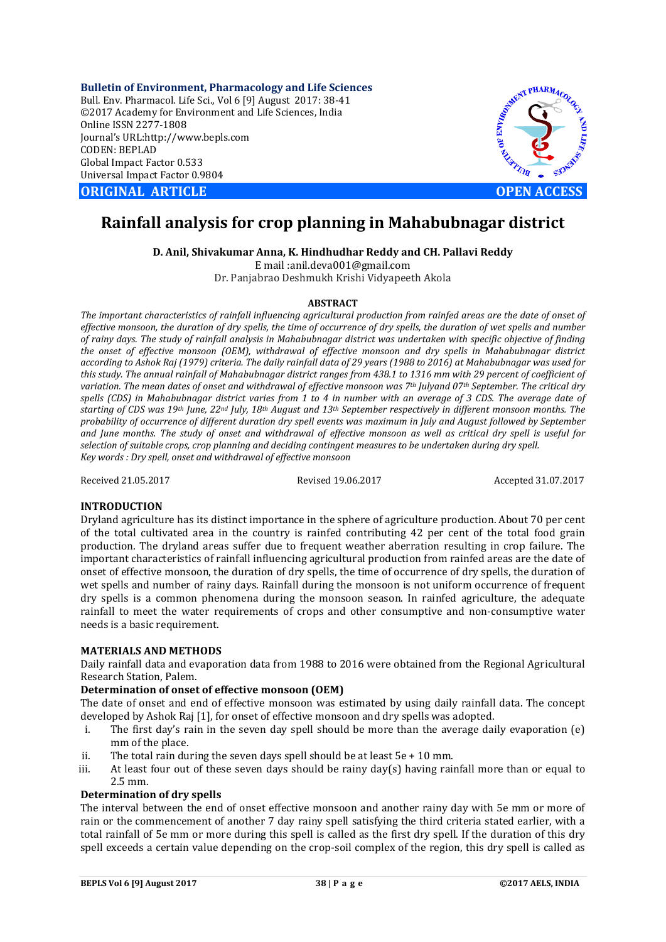**Bulletin of Environment, Pharmacology and Life Sciences** Bull. Env. Pharmacol. Life Sci., Vol 6 [9] August 2017: 38-41 ©2017 Academy for Environment and Life Sciences, India Online ISSN 2277-1808 Journal's URL:http://www.bepls.com CODEN: BEPLAD Global Impact Factor 0.533 Universal Impact Factor 0.9804

**ORIGINAL ARTICLE OPEN ACCESS**



# **Rainfall analysis for crop planning in Mahabubnagar district**

**D. Anil, Shivakumar Anna, K. Hindhudhar Reddy and CH. Pallavi Reddy**

E mail :anil.deva001@gmail.com

Dr. Panjabrao Deshmukh Krishi Vidyapeeth Akola

# **ABSTRACT**

*The important characteristics of rainfall influencing agricultural production from rainfed areas are the date of onset of effective monsoon, the duration of dry spells, the time of occurrence of dry spells, the duration of wet spells and number of rainy days. The study of rainfall analysis in Mahabubnagar district was undertaken with specific objective of finding the onset of effective monsoon (OEM), withdrawal of effective monsoon and dry spells in Mahabubnagar district according to Ashok Raj (1979) criteria. The daily rainfall data of 29 years (1988 to 2016) at Mahabubnagar was used for this study. The annual rainfall of Mahabubnagar district ranges from 438.1 to 1316 mm with 29 percent of coefficient of variation. The mean dates of onset and withdrawal of effective monsoon was 7th Julyand 07th September. The critical dry*  spells (CDS) in Mahabubnagar district varies from 1 to 4 in number with an average of 3 CDS. The average date of *starting of CDS was 19th June, 22nd July, 18th August and 13th September respectively in different monsoon months. The probability of occurrence of different duration dry spell events was maximum in July and August followed by September and June months. The study of onset and withdrawal of effective monsoon as well as critical dry spell is useful for selection of suitable crops, crop planning and deciding contingent measures to be undertaken during dry spell. Key words : Dry spell, onset and withdrawal of effective monsoon*

Received 21.05.2017 Revised 19.06.2017 Accepted 31.07.2017

# **INTRODUCTION**

Dryland agriculture has its distinct importance in the sphere of agriculture production. About 70 per cent of the total cultivated area in the country is rainfed contributing 42 per cent of the total food grain production. The dryland areas suffer due to frequent weather aberration resulting in crop failure. The important characteristics of rainfall influencing agricultural production from rainfed areas are the date of onset of effective monsoon, the duration of dry spells, the time of occurrence of dry spells, the duration of wet spells and number of rainy days. Rainfall during the monsoon is not uniform occurrence of frequent dry spells is a common phenomena during the monsoon season. In rainfed agriculture, the adequate rainfall to meet the water requirements of crops and other consumptive and non-consumptive water needs is a basic requirement.

# **MATERIALS AND METHODS**

Daily rainfall data and evaporation data from 1988 to 2016 were obtained from the Regional Agricultural Research Station, Palem.

# **Determination of onset of effective monsoon (OEM)**

The date of onset and end of effective monsoon was estimated by using daily rainfall data. The concept developed by Ashok Raj [1], for onset of effective monsoon and dry spells was adopted.

- i. The first day's rain in the seven day spell should be more than the average daily evaporation (e) mm of the place.
- ii. The total rain during the seven days spell should be at least  $5e + 10$  mm.
- iii. At least four out of these seven days should be rainy  $day(s)$  having rainfall more than or equal to 2.5 mm.

# **Determination of dry spells**

The interval between the end of onset effective monsoon and another rainy day with 5e mm or more of rain or the commencement of another 7 day rainy spell satisfying the third criteria stated earlier, with a total rainfall of 5e mm or more during this spell is called as the first dry spell. If the duration of this dry spell exceeds a certain value depending on the crop-soil complex of the region, this dry spell is called as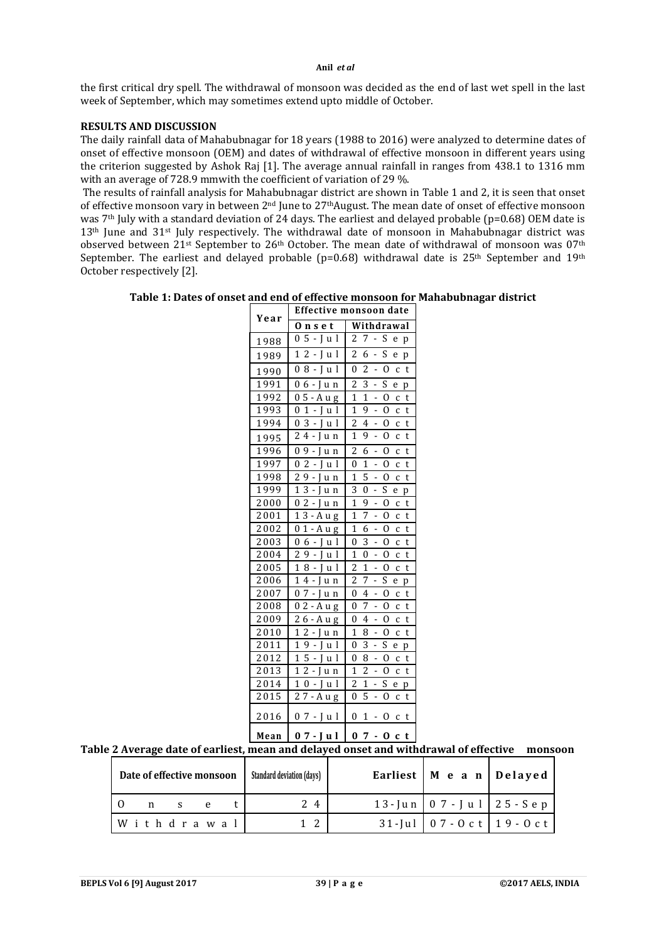#### **Anil** *et al*

the first critical dry spell. The withdrawal of monsoon was decided as the end of last wet spell in the last week of September, which may sometimes extend upto middle of October.

# **RESULTS AND DISCUSSION**

The daily rainfall data of Mahabubnagar for 18 years (1988 to 2016) were analyzed to determine dates of onset of effective monsoon (OEM) and dates of withdrawal of effective monsoon in different years using the criterion suggested by Ashok Raj [1]. The average annual rainfall in ranges from 438.1 to 1316 mm with an average of 728.9 mmwith the coefficient of variation of 29 %.

The results of rainfall analysis for Mahabubnagar district are shown in Table 1 and 2, it is seen that onset of effective monsoon vary in between 2nd June to 27thAugust. The mean date of onset of effective monsoon was 7th July with a standard deviation of 24 days. The earliest and delayed probable (p=0.68) OEM date is 13<sup>th</sup> June and 31<sup>st</sup> July respectively. The withdrawal date of monsoon in Mahabubnagar district was observed between  $21$ <sup>st</sup> September to  $26<sup>th</sup>$  October. The mean date of withdrawal of monsoon was 07<sup>th</sup> September. The earliest and delayed probable ( $p=0.68$ ) withdrawal date is 25<sup>th</sup> September and 19<sup>th</sup> October respectively [2].

**Table 1: Dates of onset and end of effective monsoon for Mahabubnagar district**

| Year | Effective monsoon date                                                        |                                                      |  |  |  |  |  |  |
|------|-------------------------------------------------------------------------------|------------------------------------------------------|--|--|--|--|--|--|
|      | О<br>nset                                                                     | Withdrawal                                           |  |  |  |  |  |  |
| 1988 | 5<br>J<br>$\overline{0}$<br>u l                                               | S<br>2<br>7<br>e<br>p                                |  |  |  |  |  |  |
| 1989 | $\overline{2}$<br>1<br>1<br>I<br>-<br>u                                       | $\overline{c}$<br>S<br>6<br>$\overline{a}$<br>e<br>p |  |  |  |  |  |  |
| 1990 | l<br>0<br>8<br>J<br>u                                                         | $\overline{c}$<br>$\theta$<br>0<br>t<br>-<br>C       |  |  |  |  |  |  |
| 1991 | 0<br>6<br>I<br>u n                                                            | $\overline{2}$<br>3<br>S<br>e<br>p                   |  |  |  |  |  |  |
| 1992 | 5<br>- A u g<br>0                                                             | 1<br>1<br>$\Omega$<br>t<br>-<br>C                    |  |  |  |  |  |  |
| 1993 | $\theta$<br>1<br>I<br>I<br>u<br>-                                             | 1<br>9<br>$\Omega$<br>t<br>C<br>-                    |  |  |  |  |  |  |
| 1994 | 3<br>$\theta$<br>l<br>J<br>-<br>u                                             | $\overline{2}$<br>4<br>0<br>t<br>-<br>C              |  |  |  |  |  |  |
| 1995 | $\overline{2}$<br>4<br>- I<br>u n                                             | 1<br>9<br>$\overline{a}$<br>$\Omega$<br>t<br>C       |  |  |  |  |  |  |
| 1996 | $\overline{0}$<br>9<br>I<br>u n<br>-                                          | $\overline{2}$<br>6<br>$\Omega$<br>t<br>-<br>C       |  |  |  |  |  |  |
| 1997 | $\overline{c}$<br>$\theta$<br>$\mathbf I$<br>u l<br>$\overline{a}$            | 0<br>1<br>Ω<br>$\overline{a}$<br>t<br>C              |  |  |  |  |  |  |
| 1998 | $\overline{2}$<br>9<br>-<br>L<br>u n                                          | 5<br>$\mathbf{1}$<br>0<br>t<br>-<br>C                |  |  |  |  |  |  |
| 1999 | 3<br>1<br>$\overline{a}$<br>Ī<br>u n                                          | 3<br>S<br>0<br>e<br>p                                |  |  |  |  |  |  |
| 2000 | 2<br>0<br>I<br>-<br>u n                                                       | $\overline{1}$<br>9<br>$\overline{0}$<br>t<br>C<br>- |  |  |  |  |  |  |
| 2001 | 1<br>3 - A u g                                                                | 1<br>7<br>0<br>t<br>-<br>C                           |  |  |  |  |  |  |
| 2002 | 0<br>$\mathbf{1}$<br>- A u g                                                  | $\overline{1}$<br>6<br>0<br>$\overline{a}$<br>t<br>C |  |  |  |  |  |  |
| 2003 | 0<br>6<br>I<br>-1<br>$\overline{\phantom{a}}$<br>u                            | 3<br>$\theta$<br>0<br>t<br>-<br>C                    |  |  |  |  |  |  |
| 2004 | $\overline{c}$<br>9<br>Ī<br>l<br>u                                            | 1<br>0<br>$\Omega$<br>t<br>C                         |  |  |  |  |  |  |
| 2005 | $\overline{1}$<br>8<br>1<br>I<br>-<br>u                                       | $\overline{2}$<br>$\overline{1}$<br>0<br>t<br>-<br>C |  |  |  |  |  |  |
| 2006 | 1<br>4 -<br>u n                                                               | $\overline{2}$<br>7<br>S<br>-<br>e<br>p              |  |  |  |  |  |  |
| 2007 | 0<br>7<br>$\mathbf{I}$<br>-<br>u n                                            | 0<br>4<br>0<br>-<br>t<br>C                           |  |  |  |  |  |  |
| 2008 | 0<br>2<br>- A u g                                                             | 0<br>7<br>0<br>-<br>t<br>C                           |  |  |  |  |  |  |
| 2009 | 2<br>6 - A<br>u g                                                             | $\theta$<br>4<br>$\Omega$<br>t<br>-<br>C             |  |  |  |  |  |  |
| 2010 | 1<br>$\overline{c}$<br>I<br>$\frac{1}{2}$<br>u n                              | 1<br>8<br>0<br>t<br>-<br>C                           |  |  |  |  |  |  |
| 2011 | 1<br>9<br>$\mathbf{I}$<br>1<br>$\overline{\phantom{a}}$<br>u                  | 3<br>S<br>0<br>$\overline{\phantom{a}}$<br>e<br>p    |  |  |  |  |  |  |
| 2012 | $\overline{1}$<br>5<br>$\overline{a}$<br>l<br>I<br>u                          | $\overline{a}$<br>$\theta$<br>8<br>0<br>t<br>C       |  |  |  |  |  |  |
| 2013 | 1<br>$\overline{2}$<br>$\overline{a}$<br>I<br>u n                             | $\overline{c}$<br>1<br>$\Omega$<br>C<br>t            |  |  |  |  |  |  |
| 2014 | $\overline{1}$<br>$\boldsymbol{0}$<br>I<br>1<br>$\overline{\phantom{a}}$<br>u | $\overline{c}$<br>$\overline{1}$<br>S<br>e<br>p      |  |  |  |  |  |  |
| 2015 | 2<br>7 - A u g                                                                | 0<br>5<br>0<br>t<br>-<br>c                           |  |  |  |  |  |  |
| 2016 | 0<br>$7 - J$<br>u l                                                           | 0<br>1<br>0<br>t<br>C<br>-                           |  |  |  |  |  |  |
| Mean | 0<br>7<br>Jul<br>-                                                            | $\bf{0}$<br>7<br>О<br>t<br>C                         |  |  |  |  |  |  |

# **Table 2 Average date of earliest, mean and delayed onset and withdrawal of effective monsoon**

| Date of effective monsoon |             | <b>Standard deviation (davs)</b> | Earliest   M e a n   Delayed |     |                      |                                 |
|---------------------------|-------------|----------------------------------|------------------------------|-----|----------------------|---------------------------------|
|                           | n           |                                  |                              | 2 4 | 13-Jun 07-Jul 25-Sep |                                 |
|                           | Withdrawall |                                  |                              | 1 2 |                      | $31$ -Jul 07 - 0 c t 19 - 0 c t |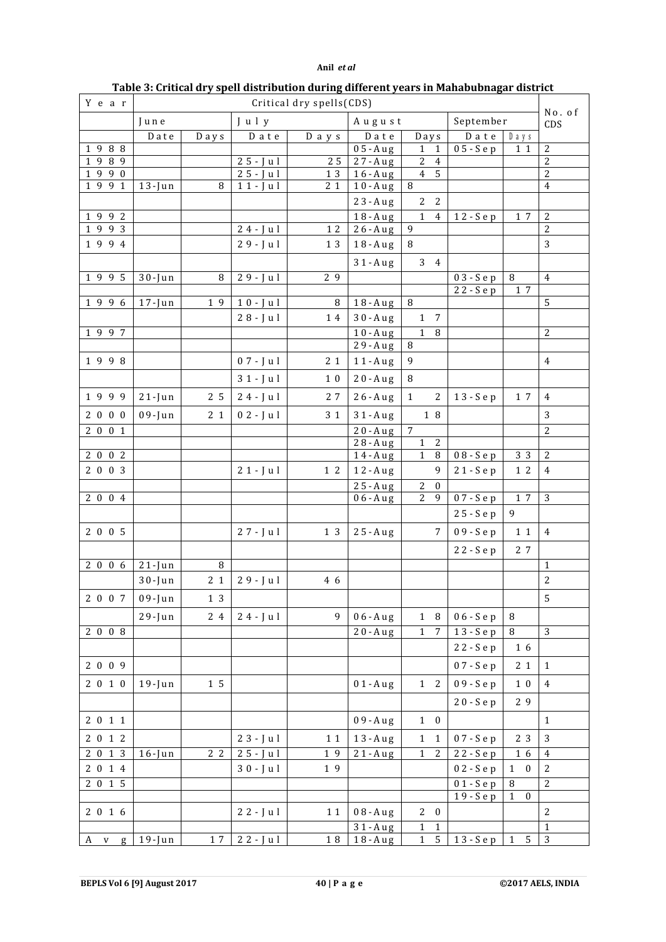# **Anil** *et al*

| Y e a r              | Critical dry spells(CDS) |                |                        |                |                              |                                  |                            |                                  |                                  |  |
|----------------------|--------------------------|----------------|------------------------|----------------|------------------------------|----------------------------------|----------------------------|----------------------------------|----------------------------------|--|
|                      | June<br>July             |                |                        |                | August                       |                                  | September                  | No. of<br>CDS                    |                                  |  |
|                      | ${\tt D}$ ate            | D a y s        | $D$ a t e              | D a y s        | Date<br>Days                 |                                  | $D$ a t e<br>$D_1$ $y$ $s$ |                                  |                                  |  |
| 1988                 |                          |                |                        |                | $05 - A u g$                 | $\mathbf{1}$<br>1                | $05-Se$ p                  | 11                               | $\overline{c}$                   |  |
| 989<br>$\mathbf{1}$  |                          |                | $25 - J u l$           | 25             | $27 - A u g$                 | 2<br>$\overline{4}$              |                            |                                  | $\overline{2}$                   |  |
| 1990                 |                          |                | $25 - J u l$           | 1 3            | $16 - A u g$                 | 4 <sub>5</sub>                   |                            |                                  | $\overline{2}$                   |  |
| 1991                 | $13 - Jun$               | 8              | $11 - J u l$           | 2 1            | $10 - A u g$                 | 8                                |                            |                                  | $\overline{4}$                   |  |
|                      |                          |                |                        |                | 23-Aug                       | $\overline{2}$<br>$\overline{2}$ |                            |                                  |                                  |  |
| 1992<br>1993         |                          |                | $24 - J u l$           | 12             | $18 - A u g$<br>$26 - A u g$ | $\mathbf{1}$<br>4<br>9           | 12-Sep                     | 1 7                              | $\overline{2}$<br>$\overline{c}$ |  |
| 1994                 |                          |                | $29 - J u l$           | 1 3            | $18 - A u g$                 | $\, 8$                           |                            |                                  | 3                                |  |
|                      |                          |                |                        |                | $31 - A u g$                 | 34                               |                            |                                  |                                  |  |
| 1995                 | $30 - Jun$               | 8              | $29 - J u l$           | 2 9            |                              |                                  | $\overline{0}$ 3 - Sep     | $\, 8$                           | $\overline{4}$                   |  |
|                      |                          |                |                        |                |                              |                                  | 22 - Sep                   | 1 7                              |                                  |  |
| 1996                 | $17 - Jun$               | 19             | $\overline{1}0 - J$ ul | 8              | $18 - A u g$                 | 8                                |                            |                                  | 5                                |  |
|                      |                          |                | $28 - J u l$           | 14             | $30 - A u g$                 | $1 \quad 7$                      |                            |                                  |                                  |  |
| 1997                 |                          |                |                        |                | $10 - A u g$                 | $\mathbf{1}$<br>8                |                            |                                  | $\overline{2}$                   |  |
|                      |                          |                |                        |                | $29 - A u g$                 | 8                                |                            |                                  |                                  |  |
| 1998                 |                          |                | $07 - J u l$           | 2 <sub>1</sub> | $11 - A u g$                 | 9                                |                            |                                  | $\overline{4}$                   |  |
|                      |                          |                | $31 - J u l$           | 10             | $20 - A u g$                 | 8                                |                            |                                  |                                  |  |
| 1999                 | $21 - Jun$               | 2 5            | $24 - J u l$           | 27             | $26 - A u g$                 | $\mathbf{1}$<br>2                | 13-Sep                     | 1 7                              | $\overline{4}$                   |  |
| 2000                 | $09$ -Jun                | 2 <sub>1</sub> | $02 - J u l$           | 3 1            | $31 - A u g$                 | $1\,$ 8                          |                            |                                  | 3                                |  |
| 2001                 |                          |                |                        |                | $20 - A u g$                 | 7                                |                            |                                  | $\overline{2}$                   |  |
|                      |                          |                |                        |                | 28-Aug                       | $\overline{c}$<br>$\mathbf{1}$   |                            |                                  |                                  |  |
| 2002                 |                          |                |                        |                | $14 - A u g$                 | $1\,$<br>$\, 8$                  | $08-Sep$                   | 3 3                              | 2                                |  |
| 2003                 |                          |                | $21 - J u l$           | $1\,2$         | $12 - A u g$                 | 9                                | 21-Sep                     | $1\,2$                           | $\overline{4}$                   |  |
|                      |                          |                |                        |                | $25 - A u g$                 | $\boldsymbol{2}$<br>$\bf{0}$     |                            |                                  |                                  |  |
| 2004                 |                          |                |                        |                | $06 - A u g$                 | $\overline{2}$<br>9              | 07 - Sep                   | 1 7                              | 3                                |  |
|                      |                          |                |                        |                |                              |                                  | 25 - Sep                   | 9                                |                                  |  |
| 2005                 |                          |                | $27 - J u l$           | 1 3            | $25 - A u g$                 | 7                                | $09-Sep$                   | $1\,1$                           | $\overline{4}$                   |  |
|                      |                          |                |                        |                |                              |                                  | 22 - Sep                   | 2 7                              |                                  |  |
| 2006                 | $21 - Jun$               | 8              |                        |                |                              |                                  |                            |                                  | $\mathbf{1}$                     |  |
|                      | $30 - Jun$               | 2 1            | $29 - J u l$           | 4 6            |                              |                                  |                            |                                  | $\sqrt{2}$                       |  |
| 2 0 0 7 09-Jun       |                          | 1 3            |                        |                |                              |                                  |                            |                                  | $\sqrt{5}$                       |  |
|                      | $29$ -Jun                | 2 4            | $24 - J u l$           | 9              | $06 - A u g$                 | $1 \quad 8$                      | $06-Sep$                   | $\, 8$                           |                                  |  |
| $2\overline{0}08$    |                          |                |                        |                | $20 - A u g$                 | $\overline{1}$<br>7              | 13-Sep                     | $\, 8$                           | $\overline{3}$                   |  |
|                      |                          |                |                        |                |                              |                                  | 22-Sep                     | 1 6                              |                                  |  |
| 2009                 |                          |                |                        |                |                              |                                  | 07 - Sep                   | 2 1                              | $\mathbf{1}$                     |  |
| 2010                 | $19$ -Jun                | $1\,5$         |                        |                | $01 - A u g$                 | $1\quad 2$                       | 09 - Sep                   | $1\,0$                           | $\overline{4}$                   |  |
|                      |                          |                |                        |                |                              |                                  | 20 - Sep                   | 29                               |                                  |  |
| 2011                 |                          |                |                        |                | $09 - A u g$                 | $1\quad 0$                       |                            |                                  | $\mathbf{1}$                     |  |
| 2012                 |                          |                | $23 - J u l$           | 11             | $13 - A u g$                 | $\mathbf{1}$<br>1                | 07 - Sep                   | 2 3                              | 3                                |  |
| $\overline{2}$ 0 1 3 | $16$ -Jun                | 2 <sub>2</sub> | $25 - J u l$           | 19             | $21 - A u g$                 | $\mathbf{1}$<br>2                | 22 - Sep                   | 16                               | $\overline{4}$                   |  |
| 2014                 |                          |                | $30 - J$ ul            | 19             |                              |                                  | 02 - Sep                   | $\mathbf{1}$<br>$\bf{0}$         | 2                                |  |
| 2015                 |                          |                |                        |                |                              |                                  | $01-Sep$                   | $\, 8$                           | $\overline{2}$                   |  |
|                      |                          |                |                        |                |                              |                                  | 19-Sep                     | $\boldsymbol{0}$<br>$\mathbf{1}$ |                                  |  |
| 2016                 |                          |                | $22 - J u l$           | $1\;1$         | $08 - A u g$                 | $2\quad 0$                       |                            |                                  | $\overline{2}$                   |  |
|                      |                          |                |                        |                | $31 - A u g$                 | $\mathbf{1}$<br>$\mathbf{1}$     |                            |                                  | $\mathbf{1}$                     |  |
| A v g                | $19 - Jun$               | $1\,7$         | $22 - J u l$           | $1\ 8$         | $18 - A u g$                 | $\sqrt{5}$<br>$\mathbf{1}$       | $13-Se$ p                  | $\sqrt{5}$<br>$\mathbf{1}$       | $\sqrt{3}$                       |  |

# **Table 3: Critical dry spell distribution during different years in Mahabubnagar district**